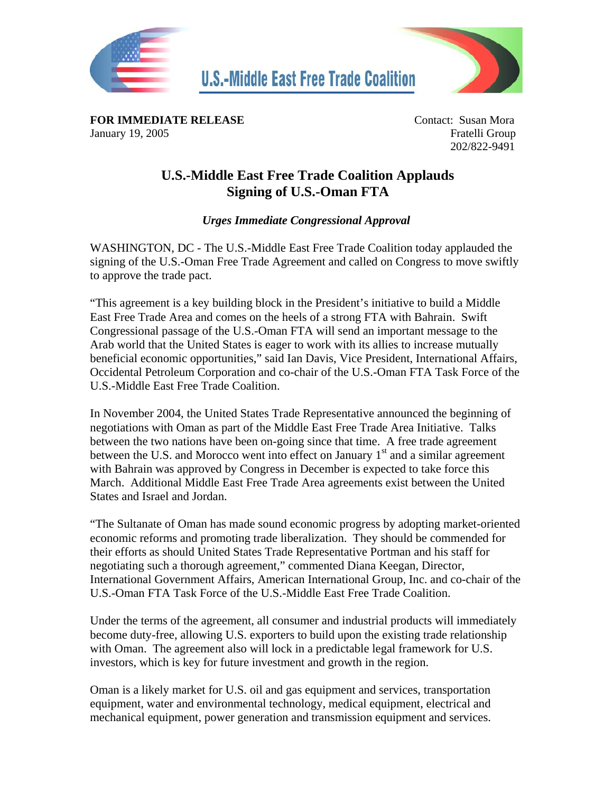





**FOR IMMEDIATE RELEASE Contact: Susan Mora** January 19, 2005 **Fratelli** Group

202/822-9491

## **U.S.-Middle East Free Trade Coalition Applauds Signing of U.S.-Oman FTA**

*Urges Immediate Congressional Approval* 

WASHINGTON, DC - The U.S.-Middle East Free Trade Coalition today applauded the signing of the U.S.-Oman Free Trade Agreement and called on Congress to move swiftly to approve the trade pact.

"This agreement is a key building block in the President's initiative to build a Middle East Free Trade Area and comes on the heels of a strong FTA with Bahrain. Swift Congressional passage of the U.S.-Oman FTA will send an important message to the Arab world that the United States is eager to work with its allies to increase mutually beneficial economic opportunities," said Ian Davis, Vice President, International Affairs, Occidental Petroleum Corporation and co-chair of the U.S.-Oman FTA Task Force of the U.S.-Middle East Free Trade Coalition.

In November 2004, the United States Trade Representative announced the beginning of negotiations with Oman as part of the Middle East Free Trade Area Initiative. Talks between the two nations have been on-going since that time. A free trade agreement between the U.S. and Morocco went into effect on January  $1<sup>st</sup>$  and a similar agreement with Bahrain was approved by Congress in December is expected to take force this March. Additional Middle East Free Trade Area agreements exist between the United States and Israel and Jordan.

"The Sultanate of Oman has made sound economic progress by adopting market-oriented economic reforms and promoting trade liberalization. They should be commended for their efforts as should United States Trade Representative Portman and his staff for negotiating such a thorough agreement," commented Diana Keegan, Director, International Government Affairs, American International Group, Inc. and co-chair of the U.S.-Oman FTA Task Force of the U.S.-Middle East Free Trade Coalition.

Under the terms of the agreement, all consumer and industrial products will immediately become duty-free, allowing U.S. exporters to build upon the existing trade relationship with Oman. The agreement also will lock in a predictable legal framework for U.S. investors, which is key for future investment and growth in the region.

Oman is a likely market for U.S. oil and gas equipment and services, transportation equipment, water and environmental technology, medical equipment, electrical and mechanical equipment, power generation and transmission equipment and services.